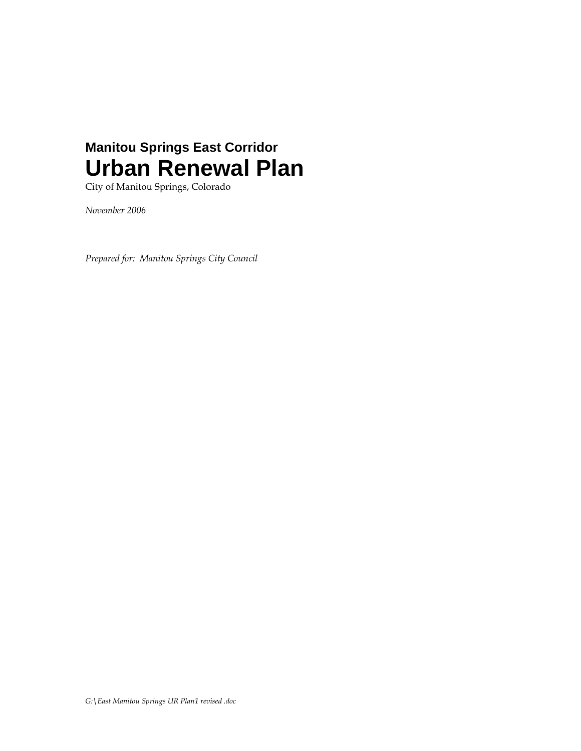# **Manitou Springs East Corridor Urban Renewal Plan**

City of Manitou Springs, Colorado

*November 2006* 

*Prepared for: Manitou Springs City Council*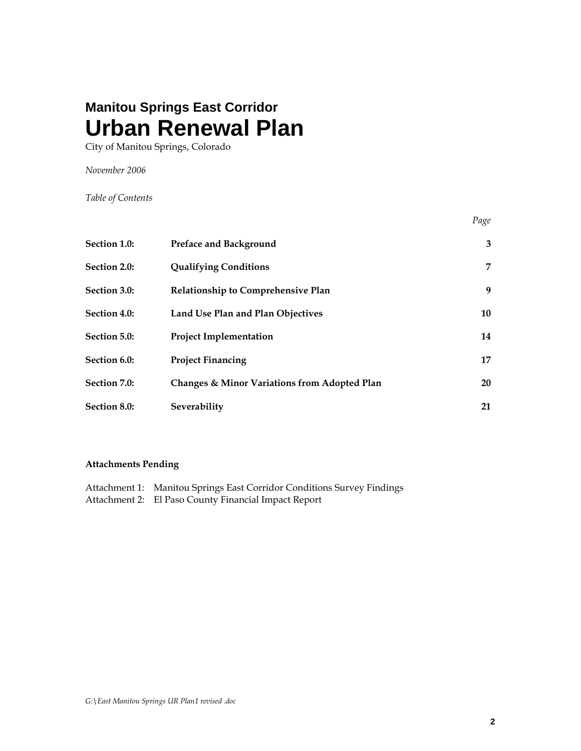# **Manitou Springs East Corridor Urban Renewal Plan**

City of Manitou Springs, Colorado

*November 2006* 

*Table of Contents* 

| <b>Section 1.0:</b> | Preface and Background                       | 3         |
|---------------------|----------------------------------------------|-----------|
| Section 2.0:        | <b>Qualifying Conditions</b>                 | 7         |
| Section 3.0:        | Relationship to Comprehensive Plan           | 9         |
| Section 4.0:        | Land Use Plan and Plan Objectives            | 10        |
| Section 5.0:        | <b>Project Implementation</b>                | 14        |
| Section 6.0:        | <b>Project Financing</b>                     | 17        |
| Section 7.0:        | Changes & Minor Variations from Adopted Plan | <b>20</b> |
| Section 8.0:        | Severability                                 | 21        |

*Page* 

# **Attachments Pending**

| Attachment 1: Manitou Springs East Corridor Conditions Survey Findings |
|------------------------------------------------------------------------|
| Attachment 2: El Paso County Financial Impact Report                   |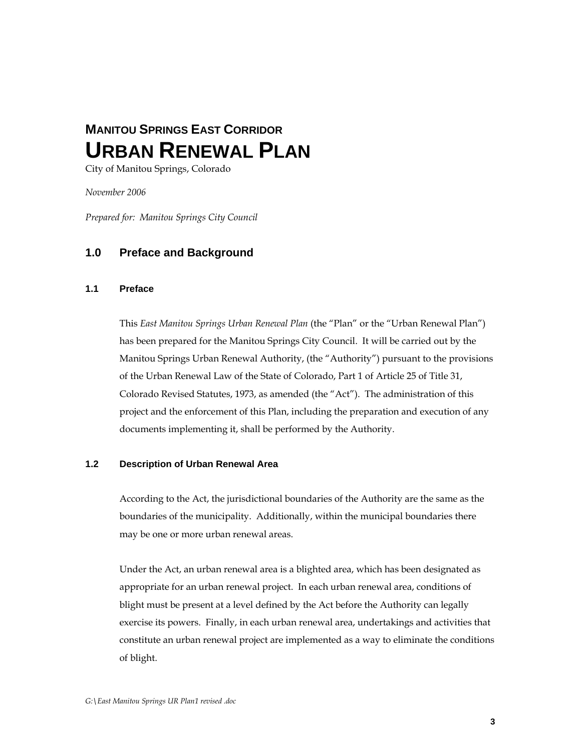# **MANITOU SPRINGS EAST CORRIDOR URBAN RENEWAL PLAN**

City of Manitou Springs, Colorado

*November 2006* 

*Prepared for: Manitou Springs City Council*

# **1.0 Preface and Background**

## **1.1 Preface**

This *East Manitou Springs Urban Renewal Plan* (the "Plan" or the "Urban Renewal Plan") has been prepared for the Manitou Springs City Council. It will be carried out by the Manitou Springs Urban Renewal Authority, (the "Authority") pursuant to the provisions of the Urban Renewal Law of the State of Colorado, Part 1 of Article 25 of Title 31, Colorado Revised Statutes, 1973, as amended (the "Act"). The administration of this project and the enforcement of this Plan, including the preparation and execution of any documents implementing it, shall be performed by the Authority.

## **1.2 Description of Urban Renewal Area**

 According to the Act, the jurisdictional boundaries of the Authority are the same as the boundaries of the municipality. Additionally, within the municipal boundaries there may be one or more urban renewal areas.

Under the Act, an urban renewal area is a blighted area, which has been designated as appropriate for an urban renewal project. In each urban renewal area, conditions of blight must be present at a level defined by the Act before the Authority can legally exercise its powers. Finally, in each urban renewal area, undertakings and activities that constitute an urban renewal project are implemented as a way to eliminate the conditions of blight.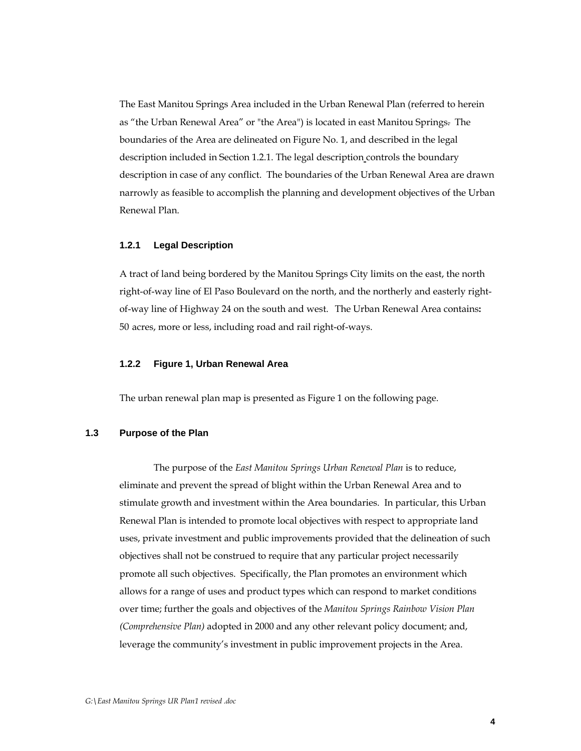The East Manitou Springs Area included in the Urban Renewal Plan (referred to herein as "the Urban Renewal Area" or "the Area") is located in east Manitou Springs. The boundaries of the Area are delineated on Figure No. 1, and described in the legal description included in Section 1.2.1. The legal description controls the boundary description in case of any conflict. The boundaries of the Urban Renewal Area are drawn narrowly as feasible to accomplish the planning and development objectives of the Urban Renewal Plan.

#### **1.2.1 Legal Description**

A tract of land being bordered by the Manitou Springs City limits on the east, the north right-of-way line of El Paso Boulevard on the north, and the northerly and easterly rightof-way line of Highway 24 on the south and west. The Urban Renewal Area contains**:**  50 acres, more or less, including road and rail right-of-ways.

#### **1.2.2 Figure 1, Urban Renewal Area**

The urban renewal plan map is presented as Figure 1 on the following page.

## **1.3 Purpose of the Plan**

 The purpose of the *East Manitou Springs Urban Renewal Plan* is to reduce, eliminate and prevent the spread of blight within the Urban Renewal Area and to stimulate growth and investment within the Area boundaries. In particular, this Urban Renewal Plan is intended to promote local objectives with respect to appropriate land uses, private investment and public improvements provided that the delineation of such objectives shall not be construed to require that any particular project necessarily promote all such objectives. Specifically, the Plan promotes an environment which allows for a range of uses and product types which can respond to market conditions over time; further the goals and objectives of the *Manitou Springs Rainbow Vision Plan (Comprehensive Plan)* adopted in 2000 and any other relevant policy document; and, leverage the community's investment in public improvement projects in the Area.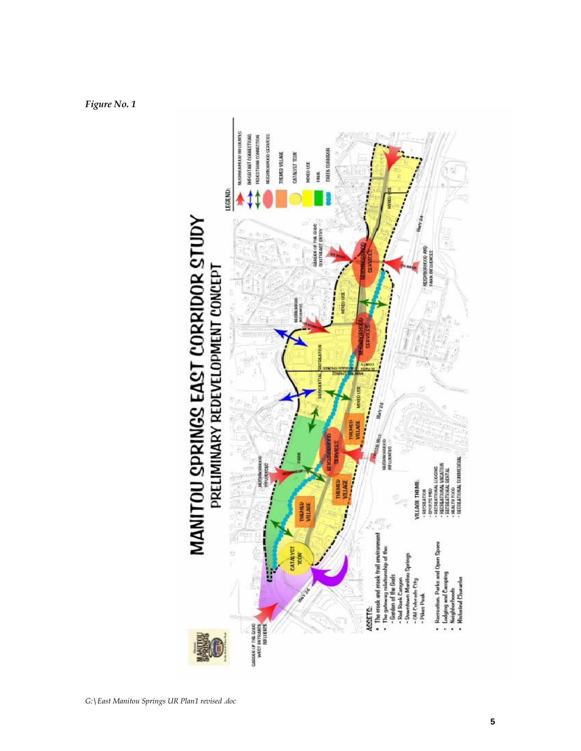*Figure No. 1*

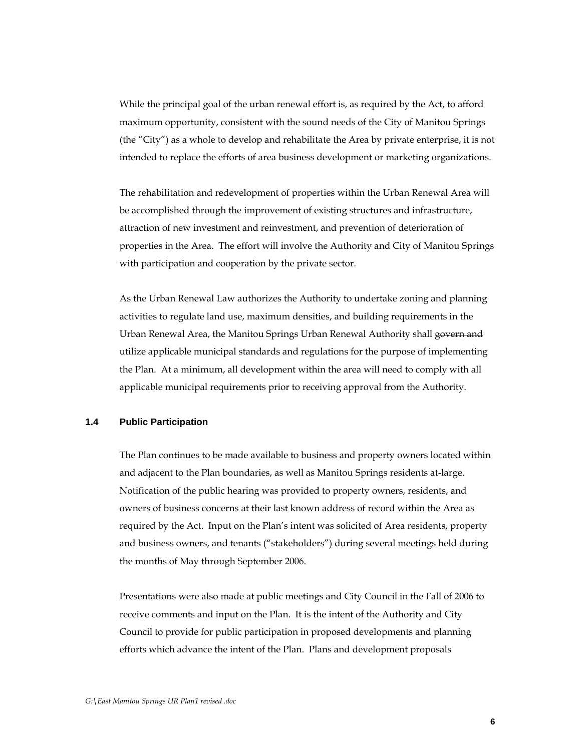While the principal goal of the urban renewal effort is, as required by the Act, to afford maximum opportunity, consistent with the sound needs of the City of Manitou Springs (the "City") as a whole to develop and rehabilitate the Area by private enterprise, it is not intended to replace the efforts of area business development or marketing organizations.

 The rehabilitation and redevelopment of properties within the Urban Renewal Area will be accomplished through the improvement of existing structures and infrastructure, attraction of new investment and reinvestment, and prevention of deterioration of properties in the Area. The effort will involve the Authority and City of Manitou Springs with participation and cooperation by the private sector.

As the Urban Renewal Law authorizes the Authority to undertake zoning and planning activities to regulate land use, maximum densities, and building requirements in the Urban Renewal Area, the Manitou Springs Urban Renewal Authority shall govern and utilize applicable municipal standards and regulations for the purpose of implementing the Plan. At a minimum, all development within the area will need to comply with all applicable municipal requirements prior to receiving approval from the Authority.

## **1.4 Public Participation**

 The Plan continues to be made available to business and property owners located within and adjacent to the Plan boundaries, as well as Manitou Springs residents at-large. Notification of the public hearing was provided to property owners, residents, and owners of business concerns at their last known address of record within the Area as required by the Act. Input on the Plan's intent was solicited of Area residents, property and business owners, and tenants ("stakeholders") during several meetings held during the months of May through September 2006.

 Presentations were also made at public meetings and City Council in the Fall of 2006 to receive comments and input on the Plan. It is the intent of the Authority and City Council to provide for public participation in proposed developments and planning efforts which advance the intent of the Plan. Plans and development proposals

**6**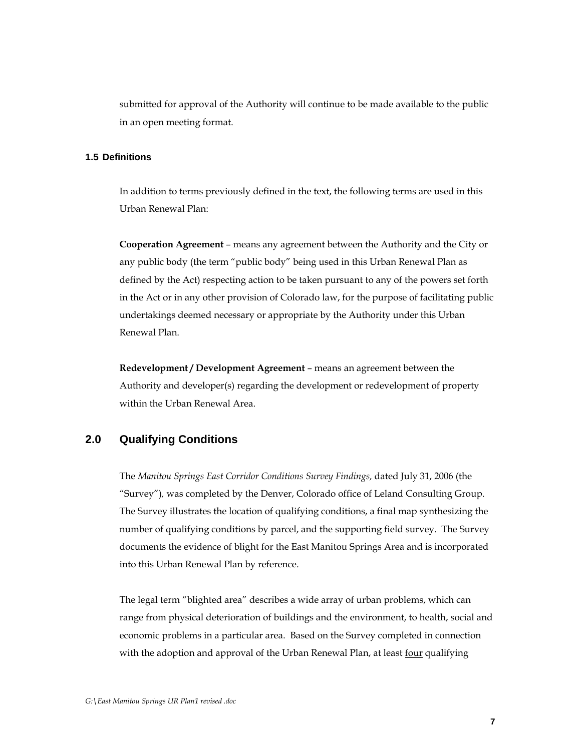submitted for approval of the Authority will continue to be made available to the public in an open meeting format.

## **1.5 Definitions**

In addition to terms previously defined in the text, the following terms are used in this Urban Renewal Plan:

**Cooperation Agreement** – means any agreement between the Authority and the City or any public body (the term "public body" being used in this Urban Renewal Plan as defined by the Act) respecting action to be taken pursuant to any of the powers set forth in the Act or in any other provision of Colorado law, for the purpose of facilitating public undertakings deemed necessary or appropriate by the Authority under this Urban Renewal Plan.

**Redevelopment / Development Agreement** – means an agreement between the Authority and developer(s) regarding the development or redevelopment of property within the Urban Renewal Area.

# **2.0 Qualifying Conditions**

The *Manitou Springs East Corridor Conditions Survey Findings,* dated July 31, 2006 (the "Survey")*,* was completed by the Denver, Colorado office of Leland Consulting Group. The Survey illustrates the location of qualifying conditions, a final map synthesizing the number of qualifying conditions by parcel, and the supporting field survey. The Survey documents the evidence of blight for the East Manitou Springs Area and is incorporated into this Urban Renewal Plan by reference.

The legal term "blighted area" describes a wide array of urban problems, which can range from physical deterioration of buildings and the environment, to health, social and economic problems in a particular area. Based on the Survey completed in connection with the adoption and approval of the Urban Renewal Plan, at least four qualifying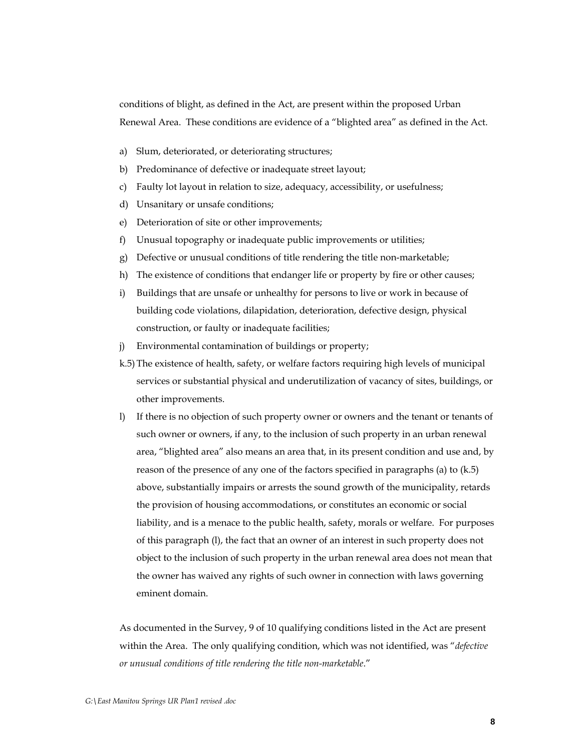conditions of blight, as defined in the Act, are present within the proposed Urban Renewal Area. These conditions are evidence of a "blighted area" as defined in the Act.

- a) Slum, deteriorated, or deteriorating structures;
- b) Predominance of defective or inadequate street layout;
- c) Faulty lot layout in relation to size, adequacy, accessibility, or usefulness;
- d) Unsanitary or unsafe conditions;
- e) Deterioration of site or other improvements;
- f) Unusual topography or inadequate public improvements or utilities;
- g) Defective or unusual conditions of title rendering the title non-marketable;
- h) The existence of conditions that endanger life or property by fire or other causes;
- i) Buildings that are unsafe or unhealthy for persons to live or work in because of building code violations, dilapidation, deterioration, defective design, physical construction, or faulty or inadequate facilities;
- j) Environmental contamination of buildings or property;
- k.5) The existence of health, safety, or welfare factors requiring high levels of municipal services or substantial physical and underutilization of vacancy of sites, buildings, or other improvements.
- l) If there is no objection of such property owner or owners and the tenant or tenants of such owner or owners, if any, to the inclusion of such property in an urban renewal area, "blighted area" also means an area that, in its present condition and use and, by reason of the presence of any one of the factors specified in paragraphs (a) to (k.5) above, substantially impairs or arrests the sound growth of the municipality, retards the provision of housing accommodations, or constitutes an economic or social liability, and is a menace to the public health, safety, morals or welfare. For purposes of this paragraph (l), the fact that an owner of an interest in such property does not object to the inclusion of such property in the urban renewal area does not mean that the owner has waived any rights of such owner in connection with laws governing eminent domain.

As documented in the Survey, 9 of 10 qualifying conditions listed in the Act are present within the Area. The only qualifying condition, which was not identified, was "*defective or unusual conditions of title rendering the title non-marketable*."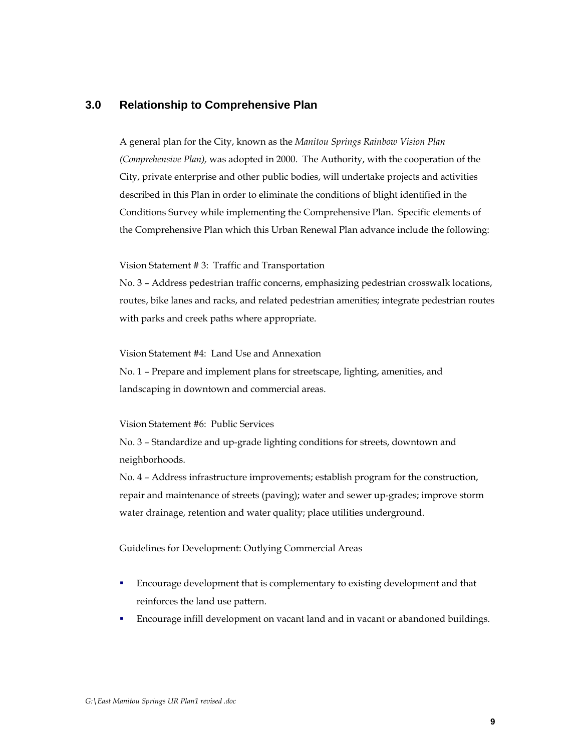# **3.0 Relationship to Comprehensive Plan**

A general plan for the City, known as the *Manitou Springs Rainbow Vision Plan (Comprehensive Plan),* was adopted in 2000. The Authority, with the cooperation of the City, private enterprise and other public bodies, will undertake projects and activities described in this Plan in order to eliminate the conditions of blight identified in the Conditions Survey while implementing the Comprehensive Plan. Specific elements of the Comprehensive Plan which this Urban Renewal Plan advance include the following:

Vision Statement # 3: Traffic and Transportation

No. 3 – Address pedestrian traffic concerns, emphasizing pedestrian crosswalk locations, routes, bike lanes and racks, and related pedestrian amenities; integrate pedestrian routes with parks and creek paths where appropriate.

Vision Statement #4: Land Use and Annexation

No. 1 – Prepare and implement plans for streetscape, lighting, amenities, and landscaping in downtown and commercial areas.

Vision Statement #6: Public Services

No. 3 – Standardize and up-grade lighting conditions for streets, downtown and neighborhoods.

No. 4 – Address infrastructure improvements; establish program for the construction, repair and maintenance of streets (paving); water and sewer up-grades; improve storm water drainage, retention and water quality; place utilities underground.

Guidelines for Development: Outlying Commercial Areas

- Encourage development that is complementary to existing development and that reinforces the land use pattern.
- Encourage infill development on vacant land and in vacant or abandoned buildings.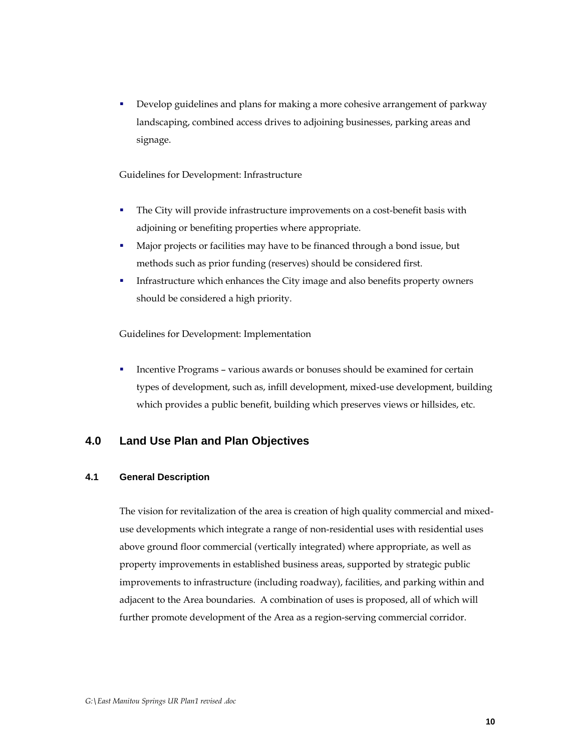**•** Develop guidelines and plans for making a more cohesive arrangement of parkway landscaping, combined access drives to adjoining businesses, parking areas and signage.

## Guidelines for Development: Infrastructure

- The City will provide infrastructure improvements on a cost-benefit basis with adjoining or benefiting properties where appropriate.
- Major projects or facilities may have to be financed through a bond issue, but methods such as prior funding (reserves) should be considered first.
- **Infrastructure which enhances the City image and also benefits property owners** should be considered a high priority.

Guidelines for Development: Implementation

 Incentive Programs – various awards or bonuses should be examined for certain types of development, such as, infill development, mixed-use development, building which provides a public benefit, building which preserves views or hillsides, etc.

# **4.0 Land Use Plan and Plan Objectives**

## **4.1 General Description**

The vision for revitalization of the area is creation of high quality commercial and mixeduse developments which integrate a range of non-residential uses with residential uses above ground floor commercial (vertically integrated) where appropriate, as well as property improvements in established business areas, supported by strategic public improvements to infrastructure (including roadway), facilities, and parking within and adjacent to the Area boundaries. A combination of uses is proposed, all of which will further promote development of the Area as a region-serving commercial corridor.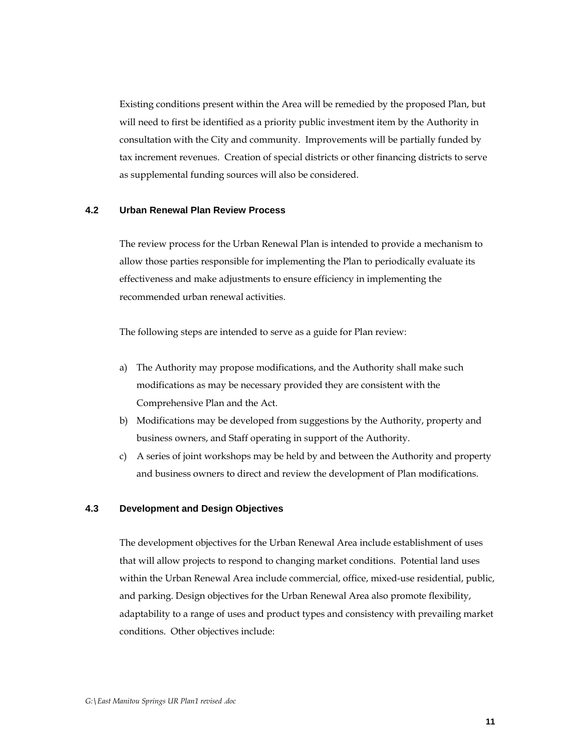Existing conditions present within the Area will be remedied by the proposed Plan, but will need to first be identified as a priority public investment item by the Authority in consultation with the City and community. Improvements will be partially funded by tax increment revenues. Creation of special districts or other financing districts to serve as supplemental funding sources will also be considered.

## **4.2 Urban Renewal Plan Review Process**

 The review process for the Urban Renewal Plan is intended to provide a mechanism to allow those parties responsible for implementing the Plan to periodically evaluate its effectiveness and make adjustments to ensure efficiency in implementing the recommended urban renewal activities.

The following steps are intended to serve as a guide for Plan review:

- a) The Authority may propose modifications, and the Authority shall make such modifications as may be necessary provided they are consistent with the Comprehensive Plan and the Act.
- b) Modifications may be developed from suggestions by the Authority, property and business owners, and Staff operating in support of the Authority.
- c) A series of joint workshops may be held by and between the Authority and property and business owners to direct and review the development of Plan modifications.

#### **4.3 Development and Design Objectives**

The development objectives for the Urban Renewal Area include establishment of uses that will allow projects to respond to changing market conditions. Potential land uses within the Urban Renewal Area include commercial, office, mixed-use residential, public, and parking. Design objectives for the Urban Renewal Area also promote flexibility, adaptability to a range of uses and product types and consistency with prevailing market conditions. Other objectives include: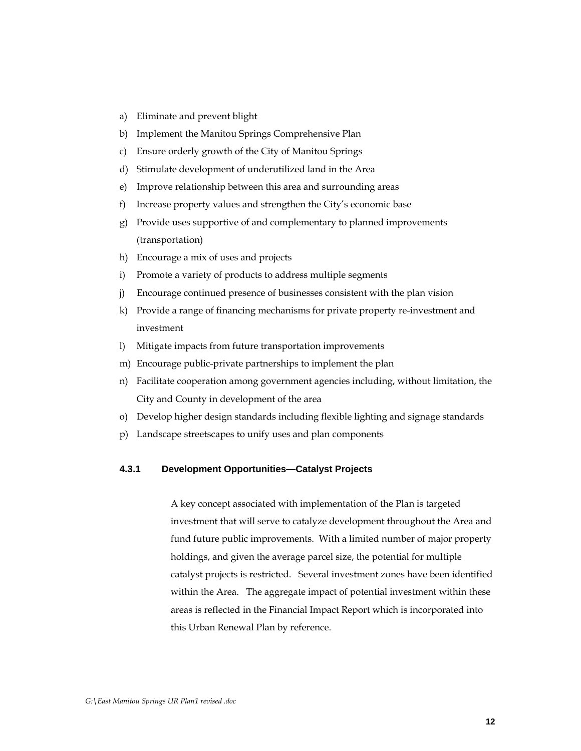- a) Eliminate and prevent blight
- b) Implement the Manitou Springs Comprehensive Plan
- c) Ensure orderly growth of the City of Manitou Springs
- d) Stimulate development of underutilized land in the Area
- e) Improve relationship between this area and surrounding areas
- f) Increase property values and strengthen the City's economic base
- g) Provide uses supportive of and complementary to planned improvements (transportation)
- h) Encourage a mix of uses and projects
- i) Promote a variety of products to address multiple segments
- j) Encourage continued presence of businesses consistent with the plan vision
- k) Provide a range of financing mechanisms for private property re-investment and investment
- l) Mitigate impacts from future transportation improvements
- m) Encourage public-private partnerships to implement the plan
- n) Facilitate cooperation among government agencies including, without limitation, the City and County in development of the area
- o) Develop higher design standards including flexible lighting and signage standards
- p) Landscape streetscapes to unify uses and plan components

## **4.3.1 Development Opportunities—Catalyst Projects**

A key concept associated with implementation of the Plan is targeted investment that will serve to catalyze development throughout the Area and fund future public improvements. With a limited number of major property holdings, and given the average parcel size, the potential for multiple catalyst projects is restricted. Several investment zones have been identified within the Area. The aggregate impact of potential investment within these areas is reflected in the Financial Impact Report which is incorporated into this Urban Renewal Plan by reference.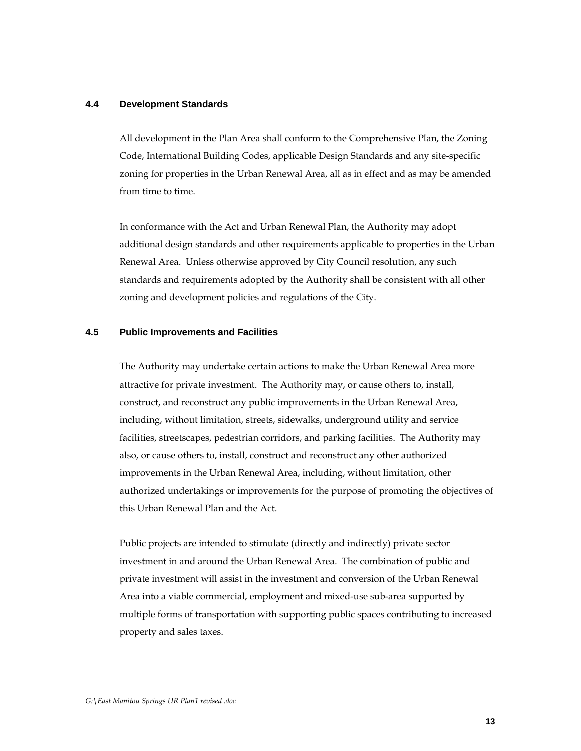## **4.4 Development Standards**

All development in the Plan Area shall conform to the Comprehensive Plan, the Zoning Code, International Building Codes, applicable Design Standards and any site-specific zoning for properties in the Urban Renewal Area, all as in effect and as may be amended from time to time.

In conformance with the Act and Urban Renewal Plan, the Authority may adopt additional design standards and other requirements applicable to properties in the Urban Renewal Area. Unless otherwise approved by City Council resolution, any such standards and requirements adopted by the Authority shall be consistent with all other zoning and development policies and regulations of the City.

#### **4.5 Public Improvements and Facilities**

The Authority may undertake certain actions to make the Urban Renewal Area more attractive for private investment. The Authority may, or cause others to, install, construct, and reconstruct any public improvements in the Urban Renewal Area, including, without limitation, streets, sidewalks, underground utility and service facilities, streetscapes, pedestrian corridors, and parking facilities. The Authority may also, or cause others to, install, construct and reconstruct any other authorized improvements in the Urban Renewal Area, including, without limitation, other authorized undertakings or improvements for the purpose of promoting the objectives of this Urban Renewal Plan and the Act.

Public projects are intended to stimulate (directly and indirectly) private sector investment in and around the Urban Renewal Area. The combination of public and private investment will assist in the investment and conversion of the Urban Renewal Area into a viable commercial, employment and mixed-use sub-area supported by multiple forms of transportation with supporting public spaces contributing to increased property and sales taxes.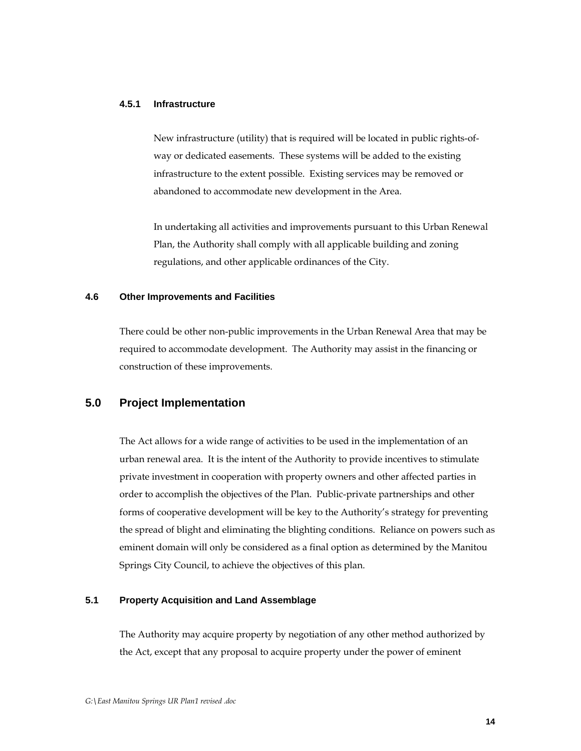## **4.5.1 Infrastructure**

New infrastructure (utility) that is required will be located in public rights-ofway or dedicated easements. These systems will be added to the existing infrastructure to the extent possible. Existing services may be removed or abandoned to accommodate new development in the Area.

In undertaking all activities and improvements pursuant to this Urban Renewal Plan, the Authority shall comply with all applicable building and zoning regulations, and other applicable ordinances of the City.

## **4.6 Other Improvements and Facilities**

 There could be other non-public improvements in the Urban Renewal Area that may be required to accommodate development. The Authority may assist in the financing or construction of these improvements.

# **5.0 Project Implementation**

The Act allows for a wide range of activities to be used in the implementation of an urban renewal area. It is the intent of the Authority to provide incentives to stimulate private investment in cooperation with property owners and other affected parties in order to accomplish the objectives of the Plan. Public-private partnerships and other forms of cooperative development will be key to the Authority's strategy for preventing the spread of blight and eliminating the blighting conditions. Reliance on powers such as eminent domain will only be considered as a final option as determined by the Manitou Springs City Council, to achieve the objectives of this plan.

# **5.1 Property Acquisition and Land Assemblage**

The Authority may acquire property by negotiation of any other method authorized by the Act, except that any proposal to acquire property under the power of eminent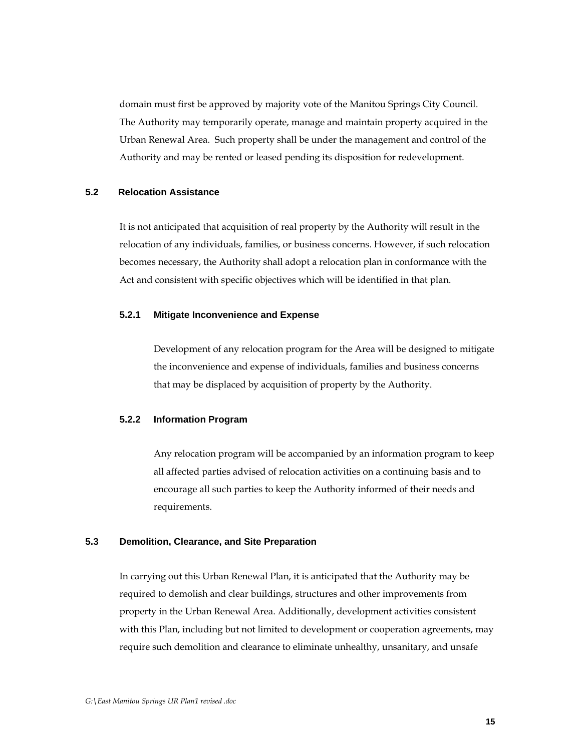domain must first be approved by majority vote of the Manitou Springs City Council. The Authority may temporarily operate, manage and maintain property acquired in the Urban Renewal Area. Such property shall be under the management and control of the Authority and may be rented or leased pending its disposition for redevelopment.

## **5.2 Relocation Assistance**

It is not anticipated that acquisition of real property by the Authority will result in the relocation of any individuals, families, or business concerns. However, if such relocation becomes necessary, the Authority shall adopt a relocation plan in conformance with the Act and consistent with specific objectives which will be identified in that plan.

## **5.2.1 Mitigate Inconvenience and Expense**

Development of any relocation program for the Area will be designed to mitigate the inconvenience and expense of individuals, families and business concerns that may be displaced by acquisition of property by the Authority.

#### **5.2.2 Information Program**

Any relocation program will be accompanied by an information program to keep all affected parties advised of relocation activities on a continuing basis and to encourage all such parties to keep the Authority informed of their needs and requirements.

#### **5.3 Demolition, Clearance, and Site Preparation**

In carrying out this Urban Renewal Plan, it is anticipated that the Authority may be required to demolish and clear buildings, structures and other improvements from property in the Urban Renewal Area. Additionally, development activities consistent with this Plan, including but not limited to development or cooperation agreements, may require such demolition and clearance to eliminate unhealthy, unsanitary, and unsafe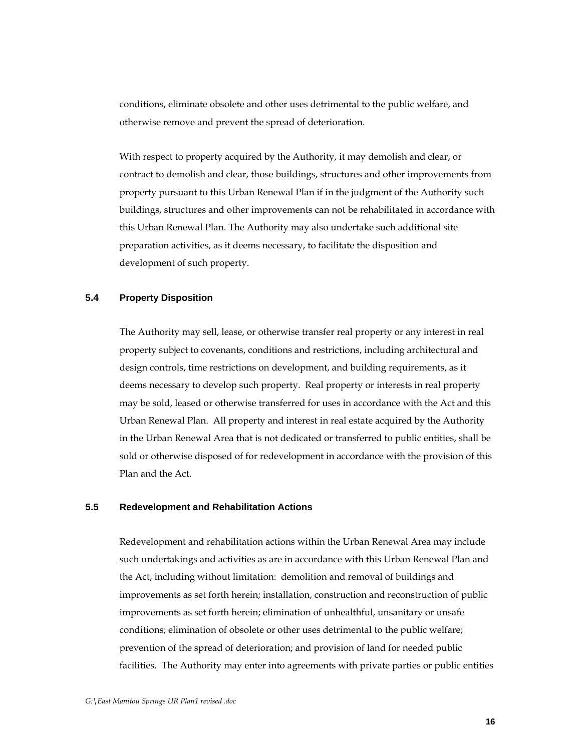conditions, eliminate obsolete and other uses detrimental to the public welfare, and otherwise remove and prevent the spread of deterioration.

With respect to property acquired by the Authority, it may demolish and clear, or contract to demolish and clear, those buildings, structures and other improvements from property pursuant to this Urban Renewal Plan if in the judgment of the Authority such buildings, structures and other improvements can not be rehabilitated in accordance with this Urban Renewal Plan. The Authority may also undertake such additional site preparation activities, as it deems necessary, to facilitate the disposition and development of such property.

## **5.4 Property Disposition**

The Authority may sell, lease, or otherwise transfer real property or any interest in real property subject to covenants, conditions and restrictions, including architectural and design controls, time restrictions on development, and building requirements, as it deems necessary to develop such property. Real property or interests in real property may be sold, leased or otherwise transferred for uses in accordance with the Act and this Urban Renewal Plan. All property and interest in real estate acquired by the Authority in the Urban Renewal Area that is not dedicated or transferred to public entities, shall be sold or otherwise disposed of for redevelopment in accordance with the provision of this Plan and the Act.

## **5.5 Redevelopment and Rehabilitation Actions**

Redevelopment and rehabilitation actions within the Urban Renewal Area may include such undertakings and activities as are in accordance with this Urban Renewal Plan and the Act, including without limitation: demolition and removal of buildings and improvements as set forth herein; installation, construction and reconstruction of public improvements as set forth herein; elimination of unhealthful, unsanitary or unsafe conditions; elimination of obsolete or other uses detrimental to the public welfare; prevention of the spread of deterioration; and provision of land for needed public facilities. The Authority may enter into agreements with private parties or public entities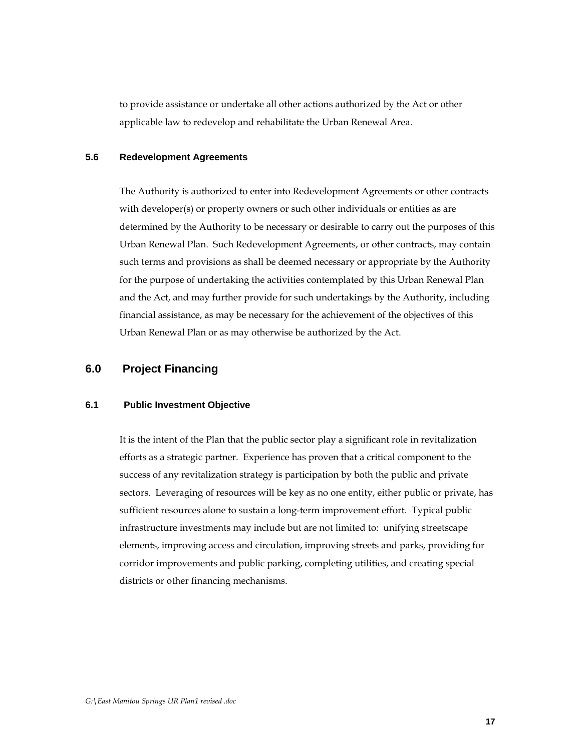to provide assistance or undertake all other actions authorized by the Act or other applicable law to redevelop and rehabilitate the Urban Renewal Area.

## **5.6 Redevelopment Agreements**

The Authority is authorized to enter into Redevelopment Agreements or other contracts with developer(s) or property owners or such other individuals or entities as are determined by the Authority to be necessary or desirable to carry out the purposes of this Urban Renewal Plan. Such Redevelopment Agreements, or other contracts, may contain such terms and provisions as shall be deemed necessary or appropriate by the Authority for the purpose of undertaking the activities contemplated by this Urban Renewal Plan and the Act, and may further provide for such undertakings by the Authority, including financial assistance, as may be necessary for the achievement of the objectives of this Urban Renewal Plan or as may otherwise be authorized by the Act.

## **6.0 Project Financing**

#### **6.1 Public Investment Objective**

It is the intent of the Plan that the public sector play a significant role in revitalization efforts as a strategic partner. Experience has proven that a critical component to the success of any revitalization strategy is participation by both the public and private sectors. Leveraging of resources will be key as no one entity, either public or private, has sufficient resources alone to sustain a long-term improvement effort. Typical public infrastructure investments may include but are not limited to: unifying streetscape elements, improving access and circulation, improving streets and parks, providing for corridor improvements and public parking, completing utilities, and creating special districts or other financing mechanisms.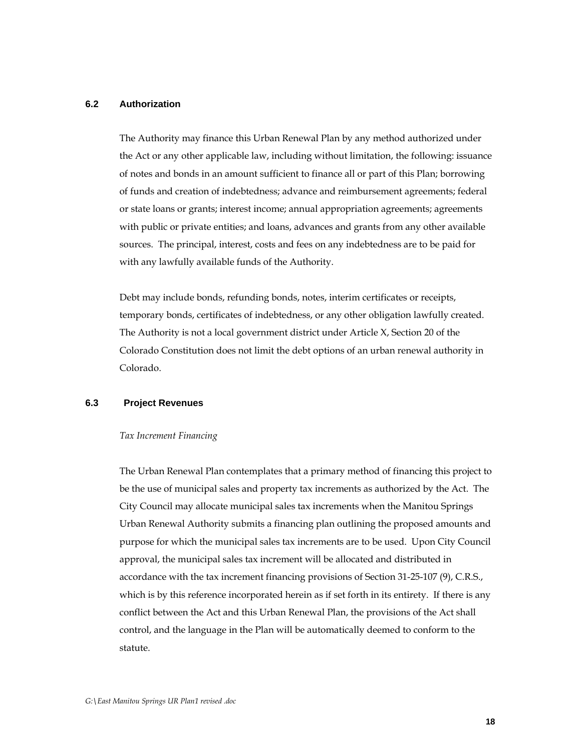## **6.2 Authorization**

The Authority may finance this Urban Renewal Plan by any method authorized under the Act or any other applicable law, including without limitation, the following: issuance of notes and bonds in an amount sufficient to finance all or part of this Plan; borrowing of funds and creation of indebtedness; advance and reimbursement agreements; federal or state loans or grants; interest income; annual appropriation agreements; agreements with public or private entities; and loans, advances and grants from any other available sources. The principal, interest, costs and fees on any indebtedness are to be paid for with any lawfully available funds of the Authority.

Debt may include bonds, refunding bonds, notes, interim certificates or receipts, temporary bonds, certificates of indebtedness, or any other obligation lawfully created. The Authority is not a local government district under Article X, Section 20 of the Colorado Constitution does not limit the debt options of an urban renewal authority in Colorado.

## **6.3 Project Revenues**

#### *Tax Increment Financing*

The Urban Renewal Plan contemplates that a primary method of financing this project to be the use of municipal sales and property tax increments as authorized by the Act. The City Council may allocate municipal sales tax increments when the Manitou Springs Urban Renewal Authority submits a financing plan outlining the proposed amounts and purpose for which the municipal sales tax increments are to be used. Upon City Council approval, the municipal sales tax increment will be allocated and distributed in accordance with the tax increment financing provisions of Section 31-25-107 (9), C.R.S., which is by this reference incorporated herein as if set forth in its entirety. If there is any conflict between the Act and this Urban Renewal Plan, the provisions of the Act shall control, and the language in the Plan will be automatically deemed to conform to the statute.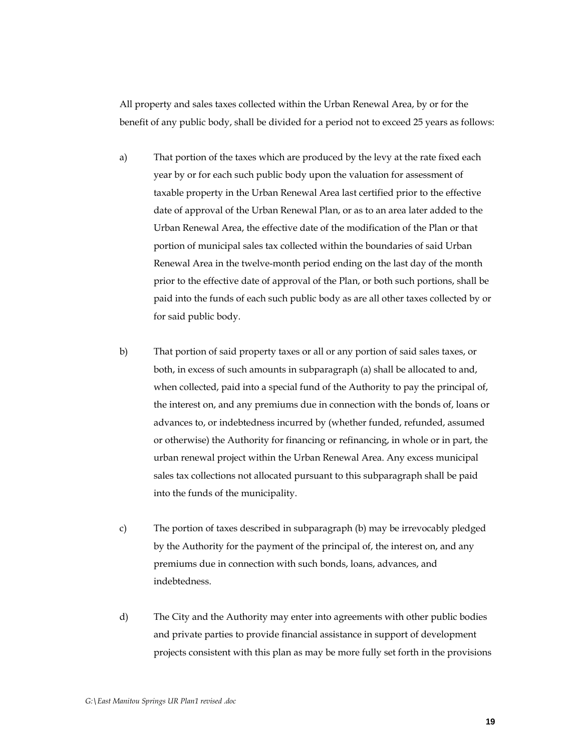All property and sales taxes collected within the Urban Renewal Area, by or for the benefit of any public body, shall be divided for a period not to exceed 25 years as follows:

- a) That portion of the taxes which are produced by the levy at the rate fixed each year by or for each such public body upon the valuation for assessment of taxable property in the Urban Renewal Area last certified prior to the effective date of approval of the Urban Renewal Plan, or as to an area later added to the Urban Renewal Area, the effective date of the modification of the Plan or that portion of municipal sales tax collected within the boundaries of said Urban Renewal Area in the twelve-month period ending on the last day of the month prior to the effective date of approval of the Plan, or both such portions, shall be paid into the funds of each such public body as are all other taxes collected by or for said public body.
- b) That portion of said property taxes or all or any portion of said sales taxes, or both, in excess of such amounts in subparagraph (a) shall be allocated to and, when collected, paid into a special fund of the Authority to pay the principal of, the interest on, and any premiums due in connection with the bonds of, loans or advances to, or indebtedness incurred by (whether funded, refunded, assumed or otherwise) the Authority for financing or refinancing, in whole or in part, the urban renewal project within the Urban Renewal Area. Any excess municipal sales tax collections not allocated pursuant to this subparagraph shall be paid into the funds of the municipality.
- c) The portion of taxes described in subparagraph (b) may be irrevocably pledged by the Authority for the payment of the principal of, the interest on, and any premiums due in connection with such bonds, loans, advances, and indebtedness.
- d) The City and the Authority may enter into agreements with other public bodies and private parties to provide financial assistance in support of development projects consistent with this plan as may be more fully set forth in the provisions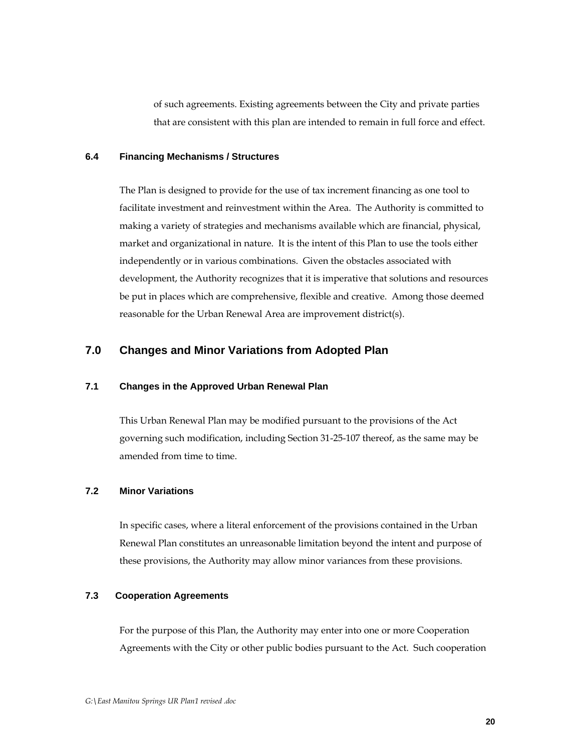of such agreements. Existing agreements between the City and private parties that are consistent with this plan are intended to remain in full force and effect.

## **6.4 Financing Mechanisms / Structures**

The Plan is designed to provide for the use of tax increment financing as one tool to facilitate investment and reinvestment within the Area. The Authority is committed to making a variety of strategies and mechanisms available which are financial, physical, market and organizational in nature. It is the intent of this Plan to use the tools either independently or in various combinations. Given the obstacles associated with development, the Authority recognizes that it is imperative that solutions and resources be put in places which are comprehensive, flexible and creative. Among those deemed reasonable for the Urban Renewal Area are improvement district(s).

# **7.0 Changes and Minor Variations from Adopted Plan**

## **7.1 Changes in the Approved Urban Renewal Plan**

This Urban Renewal Plan may be modified pursuant to the provisions of the Act governing such modification, including Section 31-25-107 thereof, as the same may be amended from time to time.

# **7.2 Minor Variations**

In specific cases, where a literal enforcement of the provisions contained in the Urban Renewal Plan constitutes an unreasonable limitation beyond the intent and purpose of these provisions, the Authority may allow minor variances from these provisions.

# **7.3 Cooperation Agreements**

For the purpose of this Plan, the Authority may enter into one or more Cooperation Agreements with the City or other public bodies pursuant to the Act. Such cooperation